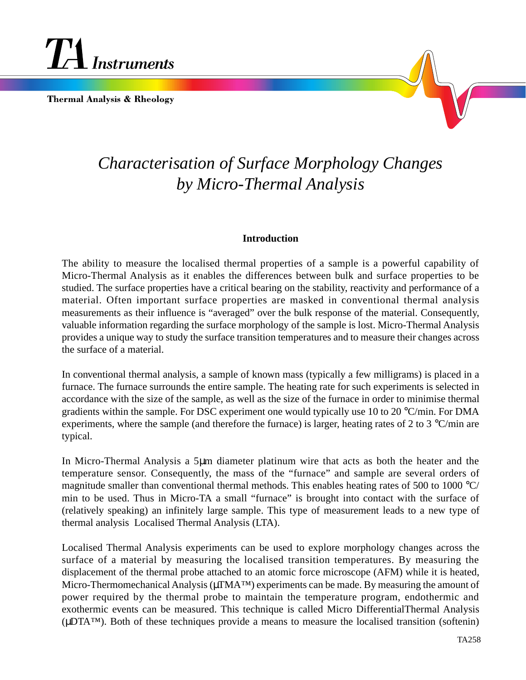

**Thermal Analysis & Rheology** 



# *Characterisation of Surface Morphology Changes by Micro-Thermal Analysis*

## **Introduction**

The ability to measure the localised thermal properties of a sample is a powerful capability of Micro-Thermal Analysis as it enables the differences between bulk and surface properties to be studied. The surface properties have a critical bearing on the stability, reactivity and performance of a material. Often important surface properties are masked in conventional thermal analysis measurements as their influence is "averaged" over the bulk response of the material. Consequently, valuable information regarding the surface morphology of the sample is lost. Micro-Thermal Analysis provides a unique way to study the surface transition temperatures and to measure their changes across the surface of a material.

In conventional thermal analysis, a sample of known mass (typically a few milligrams) is placed in a furnace. The furnace surrounds the entire sample. The heating rate for such experiments is selected in accordance with the size of the sample, as well as the size of the furnace in order to minimise thermal gradients within the sample. For DSC experiment one would typically use 10 to 20 °C/min. For DMA experiments, where the sample (and therefore the furnace) is larger, heating rates of 2 to 3 °C/min are typical.

In Micro-Thermal Analysis a 5µm diameter platinum wire that acts as both the heater and the temperature sensor. Consequently, the mass of the "furnace" and sample are several orders of magnitude smaller than conventional thermal methods. This enables heating rates of 500 to 1000 °C/ min to be used. Thus in Micro-TA a small "furnace" is brought into contact with the surface of (relatively speaking) an infinitely large sample. This type of measurement leads to a new type of thermal analysis Localised Thermal Analysis (LTA).

Localised Thermal Analysis experiments can be used to explore morphology changes across the surface of a material by measuring the localised transition temperatures. By measuring the displacement of the thermal probe attached to an atomic force microscope (AFM) while it is heated, Micro-Thermomechanical Analysis (µTMA™) experiments can be made. By measuring the amount of power required by the thermal probe to maintain the temperature program, endothermic and exothermic events can be measured. This technique is called Micro DifferentialThermal Analysis (µDTA™). Both of these techniques provide a means to measure the localised transition (softenin)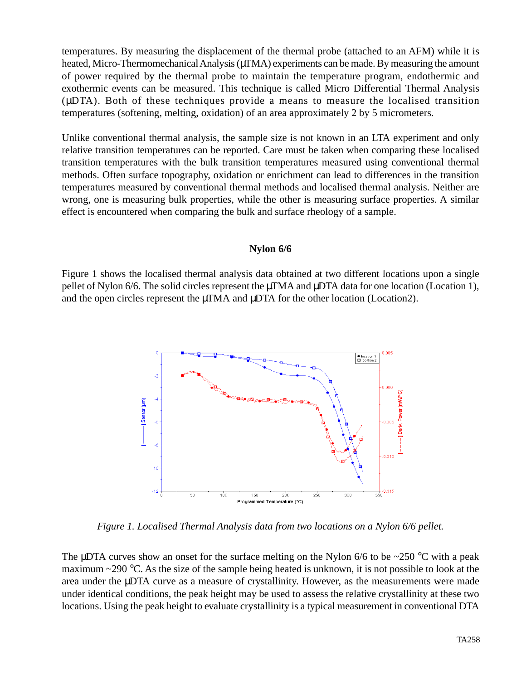temperatures. By measuring the displacement of the thermal probe (attached to an AFM) while it is heated, Micro-Thermomechanical Analysis ( $\mu$ TMA) experiments can be made. By measuring the amount of power required by the thermal probe to maintain the temperature program, endothermic and exothermic events can be measured. This technique is called Micro Differential Thermal Analysis (µDTA). Both of these techniques provide a means to measure the localised transition temperatures (softening, melting, oxidation) of an area approximately 2 by 5 micrometers.

Unlike conventional thermal analysis, the sample size is not known in an LTA experiment and only relative transition temperatures can be reported. Care must be taken when comparing these localised transition temperatures with the bulk transition temperatures measured using conventional thermal methods. Often surface topography, oxidation or enrichment can lead to differences in the transition temperatures measured by conventional thermal methods and localised thermal analysis. Neither are wrong, one is measuring bulk properties, while the other is measuring surface properties. A similar effect is encountered when comparing the bulk and surface rheology of a sample.

### **Nylon 6/6**

Figure 1 shows the localised thermal analysis data obtained at two different locations upon a single pellet of Nylon 6/6. The solid circles represent the µTMA and µDTA data for one location (Location 1), and the open circles represent the  $\mu$ TMA and  $\mu$ DTA for the other location (Location2).



*Figure 1. Localised Thermal Analysis data from two locations on a Nylon 6/6 pellet.*

The  $\mu$ DTA curves show an onset for the surface melting on the Nylon 6/6 to be ~250 °C with a peak maximum  $\sim$ 290 °C. As the size of the sample being heated is unknown, it is not possible to look at the area under the µDTA curve as a measure of crystallinity. However, as the measurements were made under identical conditions, the peak height may be used to assess the relative crystallinity at these two locations. Using the peak height to evaluate crystallinity is a typical measurement in conventional DTA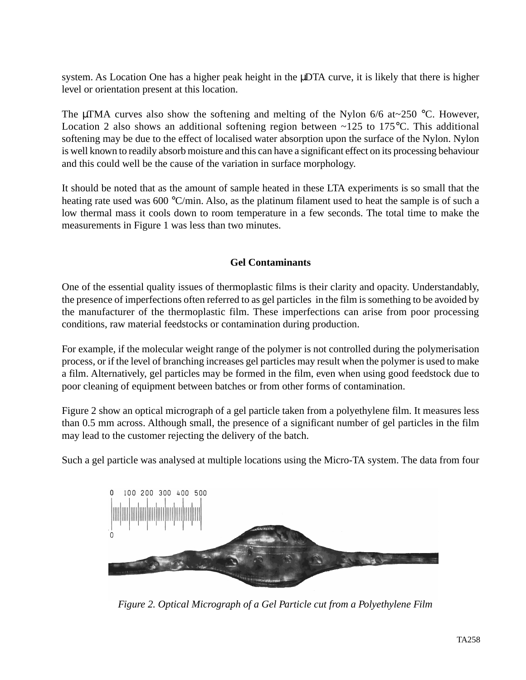system. As Location One has a higher peak height in the  $\mu$ DTA curve, it is likely that there is higher level or orientation present at this location.

The µTMA curves also show the softening and melting of the Nylon  $6/6$  at $\sim$ 250 °C. However, Location 2 also shows an additional softening region between  $\sim$ 125 to 175 °C. This additional softening may be due to the effect of localised water absorption upon the surface of the Nylon. Nylon is well known to readily absorb moisture and this can have a significant effect on its processing behaviour and this could well be the cause of the variation in surface morphology.

It should be noted that as the amount of sample heated in these LTA experiments is so small that the heating rate used was 600 °C/min. Also, as the platinum filament used to heat the sample is of such a low thermal mass it cools down to room temperature in a few seconds. The total time to make the measurements in Figure 1 was less than two minutes.

# **Gel Contaminants**

One of the essential quality issues of thermoplastic films is their clarity and opacity. Understandably, the presence of imperfections often referred to as gel particles in the film is something to be avoided by the manufacturer of the thermoplastic film. These imperfections can arise from poor processing conditions, raw material feedstocks or contamination during production.

For example, if the molecular weight range of the polymer is not controlled during the polymerisation process, or if the level of branching increases gel particles may result when the polymer is used to make a film. Alternatively, gel particles may be formed in the film, even when using good feedstock due to poor cleaning of equipment between batches or from other forms of contamination.

Figure 2 show an optical micrograph of a gel particle taken from a polyethylene film. It measures less than 0.5 mm across. Although small, the presence of a significant number of gel particles in the film may lead to the customer rejecting the delivery of the batch.

Such a gel particle was analysed at multiple locations using the Micro-TA system. The data from four



*Figure 2. Optical Micrograph of a Gel Particle cut from a Polyethylene Film*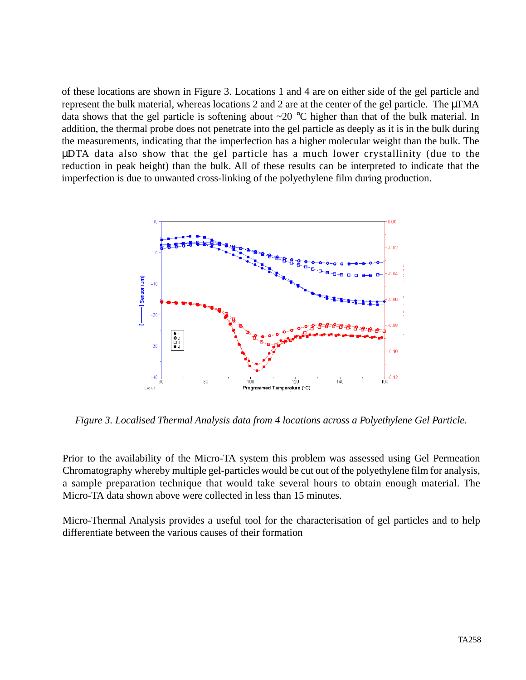of these locations are shown in Figure 3. Locations 1 and 4 are on either side of the gel particle and represent the bulk material, whereas locations 2 and 2 are at the center of the gel particle. The µTMA data shows that the gel particle is softening about ~20 °C higher than that of the bulk material. In addition, the thermal probe does not penetrate into the gel particle as deeply as it is in the bulk during the measurements, indicating that the imperfection has a higher molecular weight than the bulk. The µDTA data also show that the gel particle has a much lower crystallinity (due to the reduction in peak height) than the bulk. All of these results can be interpreted to indicate that the imperfection is due to unwanted cross-linking of the polyethylene film during production.



*Figure 3. Localised Thermal Analysis data from 4 locations across a Polyethylene Gel Particle.*

Prior to the availability of the Micro-TA system this problem was assessed using Gel Permeation Chromatography whereby multiple gel-particles would be cut out of the polyethylene film for analysis, a sample preparation technique that would take several hours to obtain enough material. The Micro-TA data shown above were collected in less than 15 minutes.

Micro-Thermal Analysis provides a useful tool for the characterisation of gel particles and to help differentiate between the various causes of their formation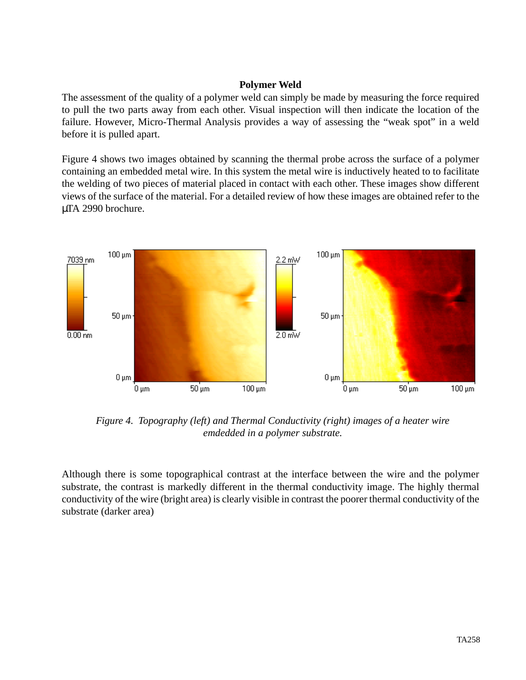## **Polymer Weld**

The assessment of the quality of a polymer weld can simply be made by measuring the force required to pull the two parts away from each other. Visual inspection will then indicate the location of the failure. However, Micro-Thermal Analysis provides a way of assessing the "weak spot" in a weld before it is pulled apart.

Figure 4 shows two images obtained by scanning the thermal probe across the surface of a polymer containing an embedded metal wire. In this system the metal wire is inductively heated to to facilitate the welding of two pieces of material placed in contact with each other. These images show different views of the surface of the material. For a detailed review of how these images are obtained refer to the µTA 2990 brochure.



*Figure 4. Topography (left) and Thermal Conductivity (right) images of a heater wire emdedded in a polymer substrate.*

Although there is some topographical contrast at the interface between the wire and the polymer substrate, the contrast is markedly different in the thermal conductivity image. The highly thermal conductivity of the wire (bright area) is clearly visible in contrast the poorer thermal conductivity of the substrate (darker area)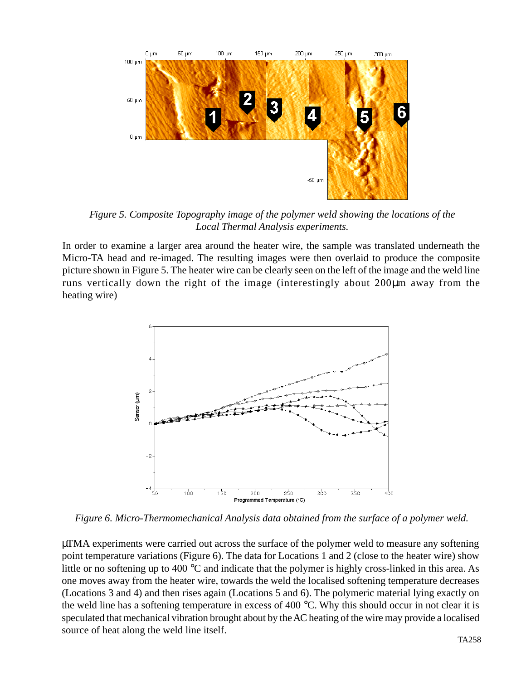

*Figure 5. Composite Topography image of the polymer weld showing the locations of the Local Thermal Analysis experiments.*

In order to examine a larger area around the heater wire, the sample was translated underneath the Micro-TA head and re-imaged. The resulting images were then overlaid to produce the composite picture shown in Figure 5. The heater wire can be clearly seen on the left of the image and the weld line runs vertically down the right of the image (interestingly about 200µm away from the heating wire)



*Figure 6. Micro-Thermomechanical Analysis data obtained from the surface of a polymer weld.*

µTMA experiments were carried out across the surface of the polymer weld to measure any softening point temperature variations (Figure 6). The data for Locations 1 and 2 (close to the heater wire) show little or no softening up to 400 °C and indicate that the polymer is highly cross-linked in this area. As one moves away from the heater wire, towards the weld the localised softening temperature decreases (Locations 3 and 4) and then rises again (Locations 5 and 6). The polymeric material lying exactly on the weld line has a softening temperature in excess of 400 °C. Why this should occur in not clear it is speculated that mechanical vibration brought about by the AC heating of the wire may provide a localised source of heat along the weld line itself.